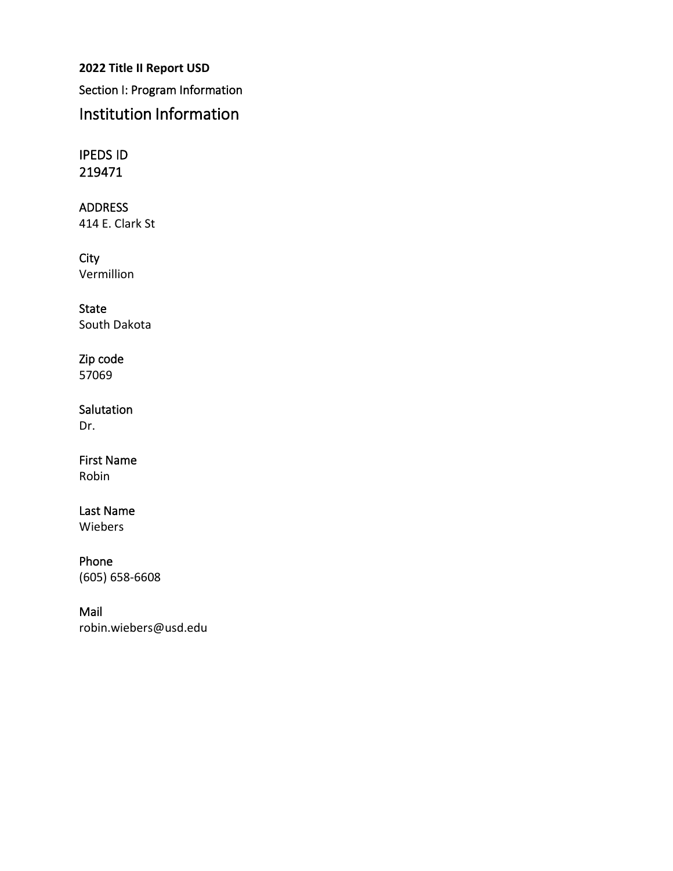Section I: Program Information Institution Information **2022 Title II Report USD**

#### IPEDS ID 219471

ADDRESS 414 E. Clark St

#### **City** Vermillion

State South Dakota

### Zip code

57069

## Salutation

Dr.

#### First Name Robin

### Last Name

Wiebers

## Phone

(605) 658-6608

#### Mail

robin.wiebers@usd.edu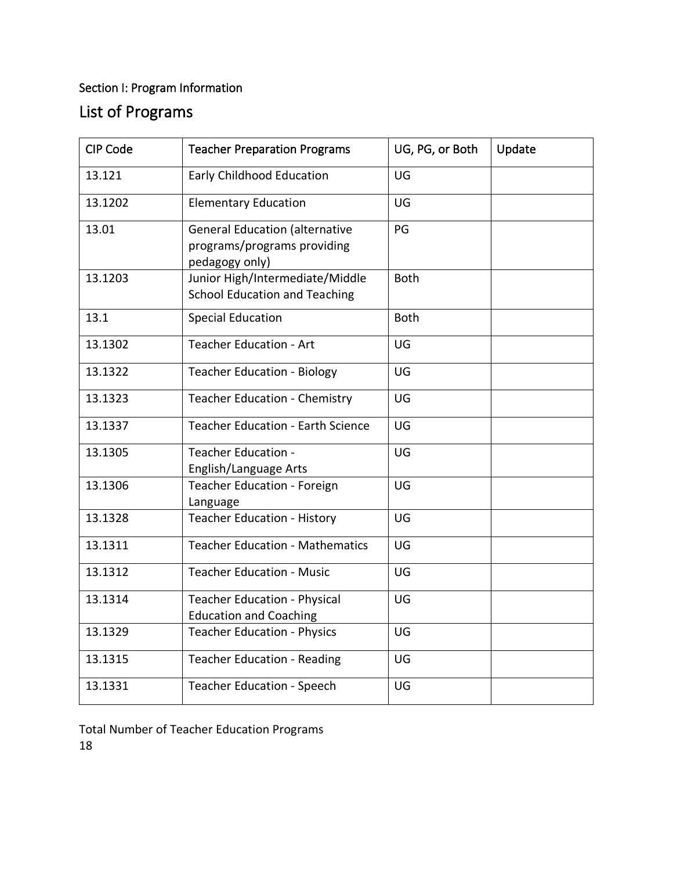## Section I: Program Information

## List of Programs

| <b>CIP Code</b> | <b>Teacher Preparation Programs</b>                                                    | UG, PG, or Both | Update |
|-----------------|----------------------------------------------------------------------------------------|-----------------|--------|
| 13.121          | <b>Early Childhood Education</b>                                                       | UG              |        |
| 13.1202         | <b>Elementary Education</b>                                                            | UG              |        |
| 13.01           | <b>General Education (alternative</b><br>programs/programs providing<br>pedagogy only) | PG              |        |
| 13.1203         | Junior High/Intermediate/Middle<br><b>School Education and Teaching</b>                | <b>Both</b>     |        |
| 13.1            | <b>Special Education</b>                                                               | <b>Both</b>     |        |
| 13.1302         | <b>Teacher Education - Art</b>                                                         | UG              |        |
| 13.1322         | <b>Teacher Education - Biology</b>                                                     | UG              |        |
| 13.1323         | <b>Teacher Education - Chemistry</b>                                                   | UG              |        |
| 13.1337         | <b>Teacher Education - Earth Science</b>                                               | UG              |        |
| 13.1305         | Teacher Education -<br>English/Language Arts                                           | UG              |        |
| 13.1306         | Teacher Education - Foreign<br>Language                                                | UG              |        |
| 13.1328         | <b>Teacher Education - History</b>                                                     | UG              |        |
| 13.1311         | <b>Teacher Education - Mathematics</b>                                                 | UG              |        |
| 13.1312         | <b>Teacher Education - Music</b>                                                       | UG              |        |
| 13.1314         | <b>Teacher Education - Physical</b><br><b>Education and Coaching</b>                   | UG              |        |
| 13.1329         | <b>Teacher Education - Physics</b>                                                     | UG              |        |
| 13.1315         | <b>Teacher Education - Reading</b>                                                     | UG              |        |
| 13.1331         | <b>Teacher Education - Speech</b>                                                      | UG              |        |

Total Number of Teacher Education Programs 18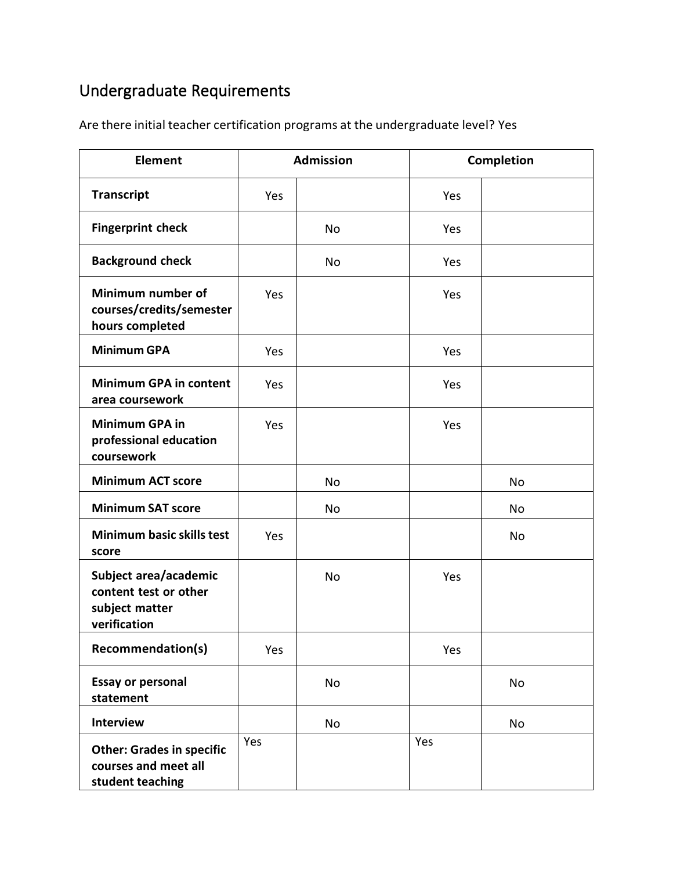# Undergraduate Requirements

| <b>Element</b>                                                                   |     | <b>Admission</b> |     | Completion |
|----------------------------------------------------------------------------------|-----|------------------|-----|------------|
| <b>Transcript</b>                                                                | Yes |                  | Yes |            |
| <b>Fingerprint check</b>                                                         |     | No               | Yes |            |
| <b>Background check</b>                                                          |     | <b>No</b>        | Yes |            |
| Minimum number of<br>courses/credits/semester<br>hours completed                 | Yes |                  | Yes |            |
| <b>Minimum GPA</b>                                                               | Yes |                  | Yes |            |
| <b>Minimum GPA in content</b><br>area coursework                                 | Yes |                  | Yes |            |
| <b>Minimum GPA in</b><br>professional education<br>coursework                    | Yes |                  | Yes |            |
| <b>Minimum ACT score</b>                                                         |     | No               |     | No         |
| <b>Minimum SAT score</b>                                                         |     | No               |     | No         |
| <b>Minimum basic skills test</b><br>score                                        | Yes |                  |     | <b>No</b>  |
| Subject area/academic<br>content test or other<br>subject matter<br>verification |     | <b>No</b>        | Yes |            |
| <b>Recommendation(s)</b>                                                         | Yes |                  | Yes |            |
| <b>Essay or personal</b><br>statement                                            |     | No               |     | No         |
| <b>Interview</b>                                                                 |     | No               |     | No         |
| <b>Other: Grades in specific</b><br>courses and meet all<br>student teaching     | Yes |                  | Yes |            |

Are there initial teacher certification programs at the undergraduate level? Yes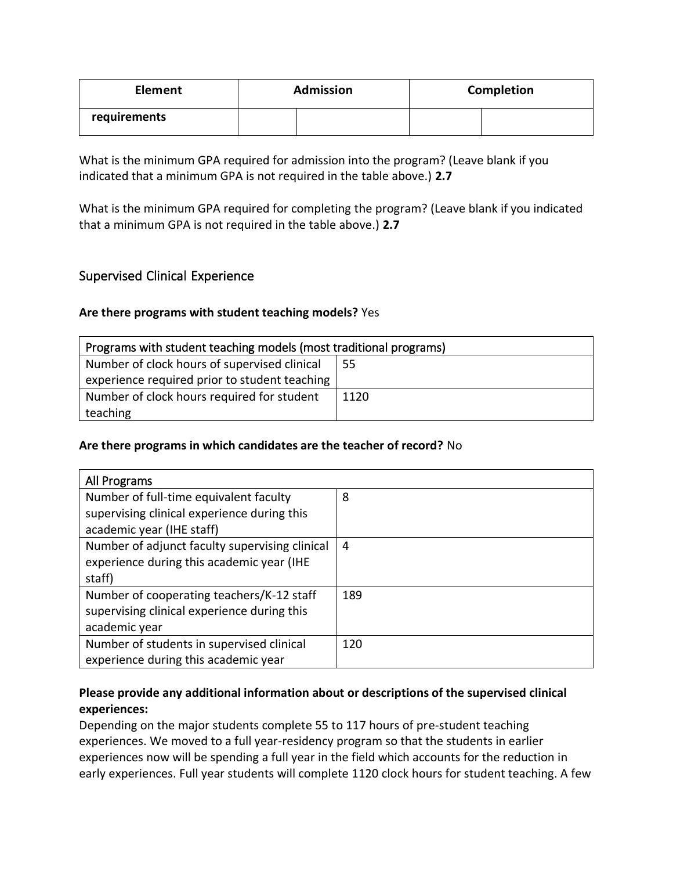| <b>Element</b> | <b>Admission</b> | <b>Completion</b> |
|----------------|------------------|-------------------|
| requirements   |                  |                   |

What is the minimum GPA required for admission into the program? (Leave blank if you indicated that a minimum GPA is not required in the table above.) **2.7**

What is the minimum GPA required for completing the program? (Leave blank if you indicated that a minimum GPA is not required in the table above.) **2.7**

#### Supervised Clinical Experience

#### **Are there programs with student teaching models?** Yes

| Programs with student teaching models (most traditional programs) |      |  |  |
|-------------------------------------------------------------------|------|--|--|
| Number of clock hours of supervised clinical<br>55                |      |  |  |
| experience required prior to student teaching                     |      |  |  |
| Number of clock hours required for student                        | 1120 |  |  |
| teaching                                                          |      |  |  |

#### **Are there programs in which candidates are the teacher of record?** No

| All Programs                                   |     |
|------------------------------------------------|-----|
| Number of full-time equivalent faculty         | 8   |
| supervising clinical experience during this    |     |
| academic year (IHE staff)                      |     |
| Number of adjunct faculty supervising clinical | 4   |
| experience during this academic year (IHE      |     |
| staff)                                         |     |
| Number of cooperating teachers/K-12 staff      | 189 |
| supervising clinical experience during this    |     |
| academic year                                  |     |
| Number of students in supervised clinical      | 120 |
| experience during this academic year           |     |

#### **Please provide any additional information about or descriptions of the supervised clinical experiences:**

Depending on the major students complete 55 to 117 hours of pre-student teaching experiences. We moved to a full year-residency program so that the students in earlier experiences now will be spending a full year in the field which accounts for the reduction in early experiences. Full year students will complete 1120 clock hours for student teaching. A few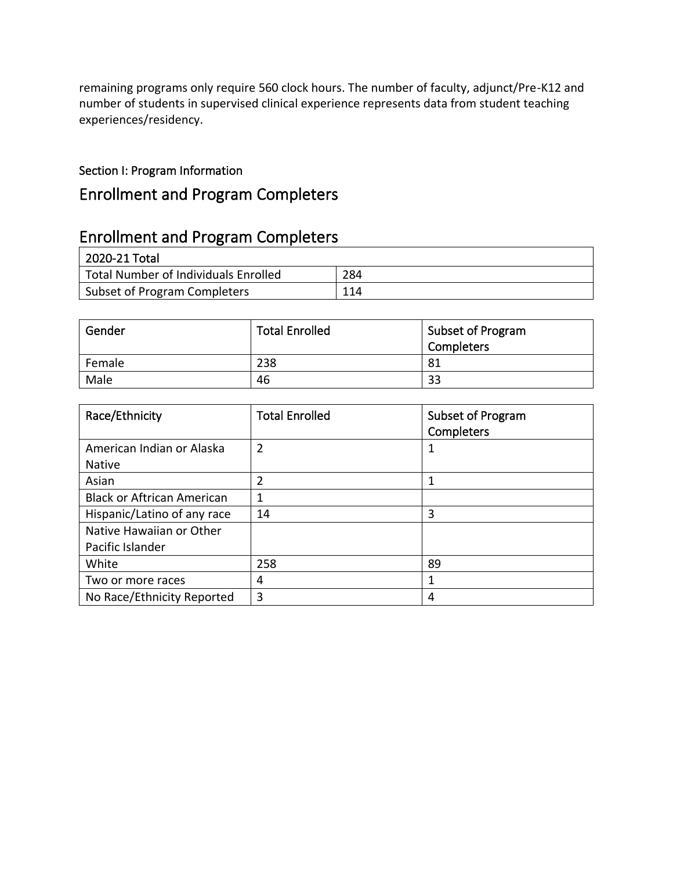remaining programs only require 560 clock hours. The number of faculty, adjunct/Pre-K12 and number of students in supervised clinical experience represents data from student teaching experiences/residency.

#### Section I: Program Information

## Enrollment and Program Completers

## Enrollment and Program Completers

| 2020-21 Total                        |     |
|--------------------------------------|-----|
| Total Number of Individuals Enrolled | 284 |
| Subset of Program Completers         | 114 |

| Gender | <b>Total Enrolled</b> | Subset of Program<br><b>Completers</b> |
|--------|-----------------------|----------------------------------------|
| Female | 238                   | 81                                     |
| Male   | 46                    | 33                                     |

| Race/Ethnicity                    | <b>Total Enrolled</b> | Subset of Program<br>Completers |
|-----------------------------------|-----------------------|---------------------------------|
| American Indian or Alaska         | $\overline{2}$        | 1                               |
| <b>Native</b>                     |                       |                                 |
| Asian                             | 2                     |                                 |
| <b>Black or Aftrican American</b> | 1                     |                                 |
| Hispanic/Latino of any race       | 14                    | 3                               |
| Native Hawaiian or Other          |                       |                                 |
| Pacific Islander                  |                       |                                 |
| White                             | 258                   | 89                              |
| Two or more races                 | 4                     |                                 |
| No Race/Ethnicity Reported        | 3                     | 4                               |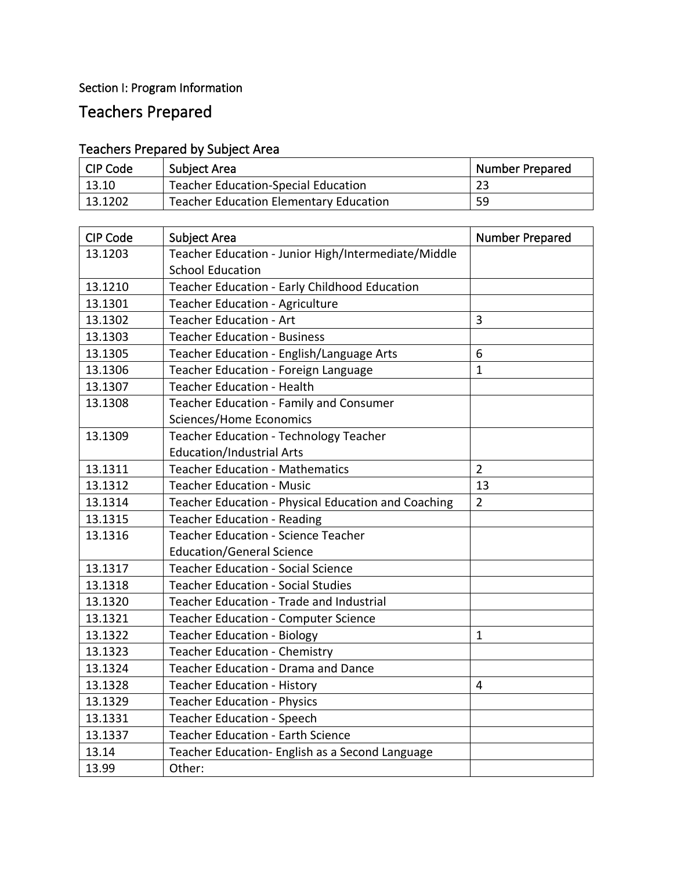## Section I: Program Information

## Teachers Prepared

## Teachers Prepared by Subject Area

| ' CIP Code | <b>Subject Area</b>                           | Number Prepared |
|------------|-----------------------------------------------|-----------------|
| 13.10      | <b>Teacher Education-Special Education</b>    |                 |
| 13.1202    | <b>Teacher Education Elementary Education</b> | 59              |

| <b>CIP Code</b> | <b>Subject Area</b>                                 | <b>Number Prepared</b> |
|-----------------|-----------------------------------------------------|------------------------|
| 13.1203         | Teacher Education - Junior High/Intermediate/Middle |                        |
|                 | <b>School Education</b>                             |                        |
| 13.1210         | Teacher Education - Early Childhood Education       |                        |
| 13.1301         | Teacher Education - Agriculture                     |                        |
| 13.1302         | <b>Teacher Education - Art</b>                      | 3                      |
| 13.1303         | <b>Teacher Education - Business</b>                 |                        |
| 13.1305         | Teacher Education - English/Language Arts           | 6                      |
| 13.1306         | Teacher Education - Foreign Language                | $\mathbf{1}$           |
| 13.1307         | <b>Teacher Education - Health</b>                   |                        |
| 13.1308         | Teacher Education - Family and Consumer             |                        |
|                 | Sciences/Home Economics                             |                        |
| 13.1309         | <b>Teacher Education - Technology Teacher</b>       |                        |
|                 | <b>Education/Industrial Arts</b>                    |                        |
| 13.1311         | <b>Teacher Education - Mathematics</b>              | $\overline{2}$         |
| 13.1312         | <b>Teacher Education - Music</b>                    | 13                     |
| 13.1314         | Teacher Education - Physical Education and Coaching | $\overline{2}$         |
| 13.1315         | <b>Teacher Education - Reading</b>                  |                        |
| 13.1316         | <b>Teacher Education - Science Teacher</b>          |                        |
|                 | <b>Education/General Science</b>                    |                        |
| 13.1317         | <b>Teacher Education - Social Science</b>           |                        |
| 13.1318         | <b>Teacher Education - Social Studies</b>           |                        |
| 13.1320         | Teacher Education - Trade and Industrial            |                        |
| 13.1321         | <b>Teacher Education - Computer Science</b>         |                        |
| 13.1322         | <b>Teacher Education - Biology</b>                  | $\mathbf 1$            |
| 13.1323         | <b>Teacher Education - Chemistry</b>                |                        |
| 13.1324         | Teacher Education - Drama and Dance                 |                        |
| 13.1328         | <b>Teacher Education - History</b>                  | 4                      |
| 13.1329         | <b>Teacher Education - Physics</b>                  |                        |
| 13.1331         | <b>Teacher Education - Speech</b>                   |                        |
| 13.1337         | <b>Teacher Education - Earth Science</b>            |                        |
| 13.14           | Teacher Education- English as a Second Language     |                        |
| 13.99           | Other:                                              |                        |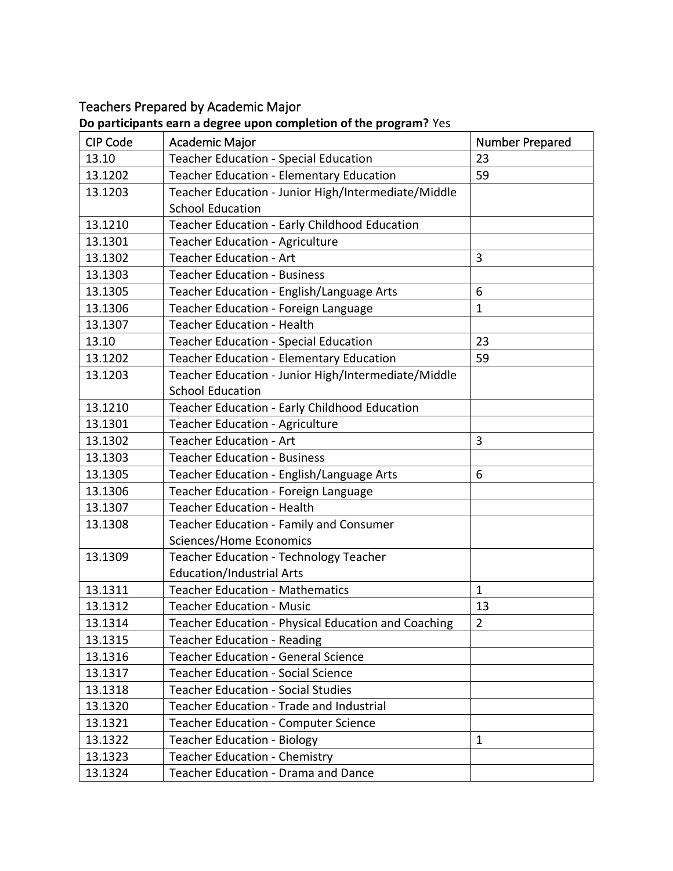| <b>CIP Code</b> | <b>Academic Major</b>                                | <b>Number Prepared</b> |
|-----------------|------------------------------------------------------|------------------------|
| 13.10           | <b>Teacher Education - Special Education</b>         | 23                     |
| 13.1202         | <b>Teacher Education - Elementary Education</b>      | 59                     |
| 13.1203         | Teacher Education - Junior High/Intermediate/Middle  |                        |
|                 | <b>School Education</b>                              |                        |
| 13.1210         | <b>Teacher Education - Early Childhood Education</b> |                        |
| 13.1301         | <b>Teacher Education - Agriculture</b>               |                        |
| 13.1302         | <b>Teacher Education - Art</b>                       | 3                      |
| 13.1303         | <b>Teacher Education - Business</b>                  |                        |
| 13.1305         | Teacher Education - English/Language Arts            | 6                      |
| 13.1306         | Teacher Education - Foreign Language                 | $\mathbf{1}$           |
| 13.1307         | <b>Teacher Education - Health</b>                    |                        |
| 13.10           | <b>Teacher Education - Special Education</b>         | 23                     |
| 13.1202         | <b>Teacher Education - Elementary Education</b>      | 59                     |
| 13.1203         | Teacher Education - Junior High/Intermediate/Middle  |                        |
|                 | <b>School Education</b>                              |                        |
| 13.1210         | Teacher Education - Early Childhood Education        |                        |
| 13.1301         | <b>Teacher Education - Agriculture</b>               |                        |
| 13.1302         | <b>Teacher Education - Art</b>                       | 3                      |
| 13.1303         | <b>Teacher Education - Business</b>                  |                        |
| 13.1305         | Teacher Education - English/Language Arts            | 6                      |
| 13.1306         | Teacher Education - Foreign Language                 |                        |
| 13.1307         | <b>Teacher Education - Health</b>                    |                        |
| 13.1308         | Teacher Education - Family and Consumer              |                        |
|                 | Sciences/Home Economics                              |                        |
| 13.1309         | Teacher Education - Technology Teacher               |                        |
|                 | <b>Education/Industrial Arts</b>                     |                        |
| 13.1311         | <b>Teacher Education - Mathematics</b>               | $\mathbf{1}$           |
| 13.1312         | <b>Teacher Education - Music</b>                     | 13                     |
| 13.1314         | Teacher Education - Physical Education and Coaching  | $\overline{2}$         |
| 13.1315         | <b>Teacher Education - Reading</b>                   |                        |
| 13.1316         | <b>Teacher Education - General Science</b>           |                        |
| 13.1317         | <b>Teacher Education - Social Science</b>            |                        |
| 13.1318         | <b>Teacher Education - Social Studies</b>            |                        |
| 13.1320         | Teacher Education - Trade and Industrial             |                        |
| 13.1321         | <b>Teacher Education - Computer Science</b>          |                        |
| 13.1322         | <b>Teacher Education - Biology</b>                   | $\mathbf{1}$           |
| 13.1323         | <b>Teacher Education - Chemistry</b>                 |                        |
| 13.1324         | Teacher Education - Drama and Dance                  |                        |

## Teachers Prepared by Academic Major **Do participants earn a degree upon completion of the program?** Yes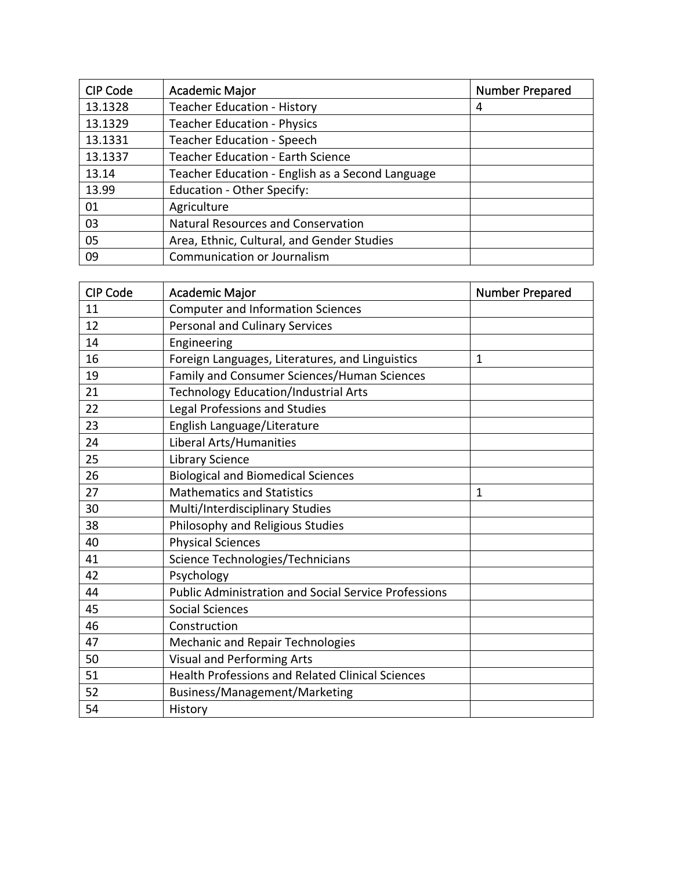| <b>CIP Code</b> | <b>Academic Major</b>                            | <b>Number Prepared</b> |
|-----------------|--------------------------------------------------|------------------------|
| 13.1328         | <b>Teacher Education - History</b>               | 4                      |
| 13.1329         | <b>Teacher Education - Physics</b>               |                        |
| 13.1331         | <b>Teacher Education - Speech</b>                |                        |
| 13.1337         | <b>Teacher Education - Earth Science</b>         |                        |
| 13.14           | Teacher Education - English as a Second Language |                        |
| 13.99           | Education - Other Specify:                       |                        |
| 01              | Agriculture                                      |                        |
| 03              | <b>Natural Resources and Conservation</b>        |                        |
| 05              | Area, Ethnic, Cultural, and Gender Studies       |                        |
| 09              | Communication or Journalism                      |                        |

| <b>CIP Code</b> | Academic Major                                              | <b>Number Prepared</b> |
|-----------------|-------------------------------------------------------------|------------------------|
| 11              | <b>Computer and Information Sciences</b>                    |                        |
| 12              | <b>Personal and Culinary Services</b>                       |                        |
| 14              | Engineering                                                 |                        |
| 16              | Foreign Languages, Literatures, and Linguistics             | $\mathbf{1}$           |
| 19              | Family and Consumer Sciences/Human Sciences                 |                        |
| 21              | <b>Technology Education/Industrial Arts</b>                 |                        |
| 22              | Legal Professions and Studies                               |                        |
| 23              | English Language/Literature                                 |                        |
| 24              | Liberal Arts/Humanities                                     |                        |
| 25              | <b>Library Science</b>                                      |                        |
| 26              | <b>Biological and Biomedical Sciences</b>                   |                        |
| 27              | <b>Mathematics and Statistics</b>                           | $\mathbf{1}$           |
| 30              | Multi/Interdisciplinary Studies                             |                        |
| 38              | Philosophy and Religious Studies                            |                        |
| 40              | <b>Physical Sciences</b>                                    |                        |
| 41              | Science Technologies/Technicians                            |                        |
| 42              | Psychology                                                  |                        |
| 44              | <b>Public Administration and Social Service Professions</b> |                        |
| 45              | <b>Social Sciences</b>                                      |                        |
| 46              | Construction                                                |                        |
| 47              | Mechanic and Repair Technologies                            |                        |
| 50              | <b>Visual and Performing Arts</b>                           |                        |
| 51              | Health Professions and Related Clinical Sciences            |                        |
| 52              | Business/Management/Marketing                               |                        |
| 54              | History                                                     |                        |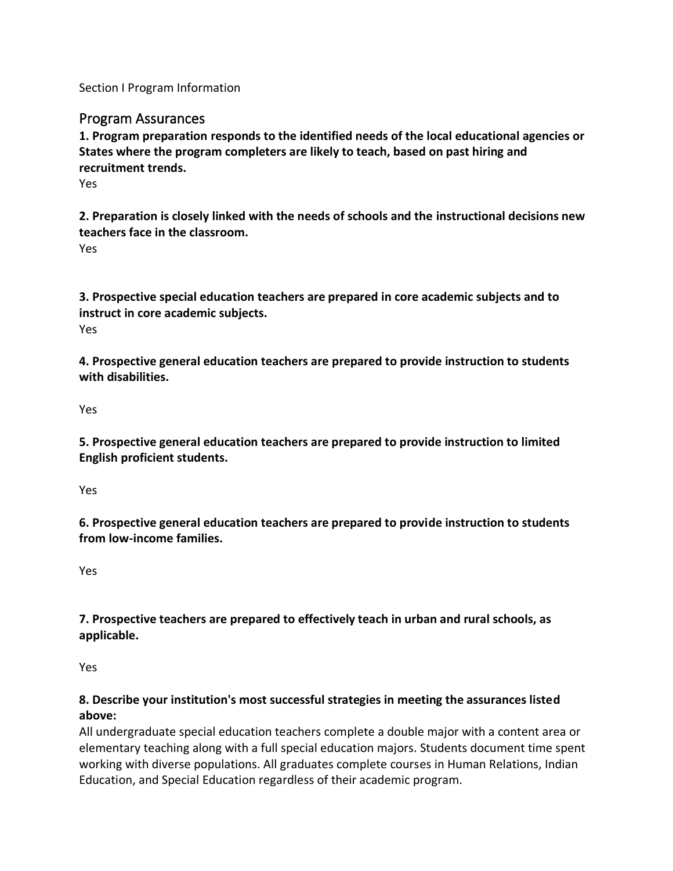Section I Program Information

Program Assurances

**1. Program preparation responds to the identified needs of the local educational agencies or States where the program completers are likely to teach, based on past hiring and recruitment trends.**

Yes

**2. Preparation is closely linked with the needs of schools and the instructional decisions new teachers face in the classroom.** Yes

**3. Prospective special education teachers are prepared in core academic subjects and to instruct in core academic subjects.** Yes

**4. Prospective general education teachers are prepared to provide instruction to students with disabilities.**

Yes

**5. Prospective general education teachers are prepared to provide instruction to limited English proficient students.**

Yes

**6. Prospective general education teachers are prepared to provide instruction to students from low-income families.**

Yes

**7. Prospective teachers are prepared to effectively teach in urban and rural schools, as applicable.**

Yes

#### **8. Describe your institution's most successful strategies in meeting the assurances listed above:**

All undergraduate special education teachers complete a double major with a content area or elementary teaching along with a full special education majors. Students document time spent working with diverse populations. All graduates complete courses in Human Relations, Indian Education, and Special Education regardless of their academic program.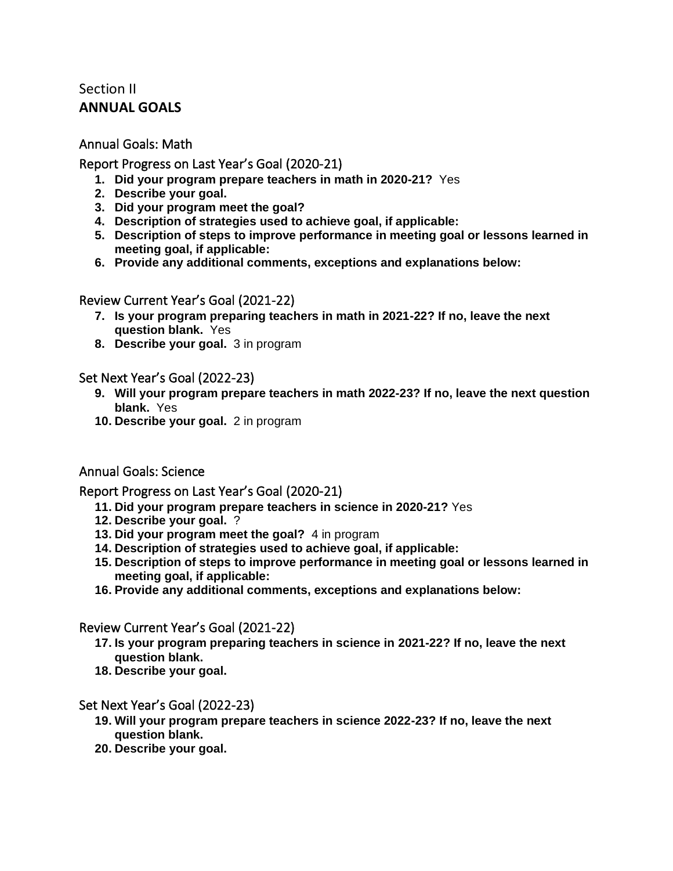### Section II **ANNUAL GOALS**

#### Annual Goals: Math

#### Report Progress on Last Year's Goal (2020-21)

- **1. Did your program prepare teachers in math in 2020-21?** Yes
- **2. Describe your goal.**
- **3. Did your program meet the goal?**
- **4. Description of strategies used to achieve goal, if applicable:**
- **5. Description of steps to improve performance in meeting goal or lessons learned in meeting goal, if applicable:**
- **6. Provide any additional comments, exceptions and explanations below:**

Review Current Year's Goal (2021-22)

- **7. Is your program preparing teachers in math in 2021-22? If no, leave the next question blank.** Yes
- **8. Describe your goal.** 3 in program

#### Set Next Year's Goal (2022-23)

- **9. Will your program prepare teachers in math 2022-23? If no, leave the next question blank.** Yes
- **10. Describe your goal.** 2 in program

#### Annual Goals: Science

Report Progress on Last Year's Goal (2020-21)

- **11. Did your program prepare teachers in science in 2020-21?** Yes
- **12. Describe your goal.** ?
- **13. Did your program meet the goal?** 4 in program
- **14. Description of strategies used to achieve goal, if applicable:**
- **15. Description of steps to improve performance in meeting goal or lessons learned in meeting goal, if applicable:**
- **16. Provide any additional comments, exceptions and explanations below:**

#### Review Current Year's Goal (2021-22)

- **17. Is your program preparing teachers in science in 2021-22? If no, leave the next question blank.**
- **18. Describe your goal.**

#### Set Next Year's Goal (2022-23)

- **19. Will your program prepare teachers in science 2022-23? If no, leave the next question blank.**
- **20. Describe your goal.**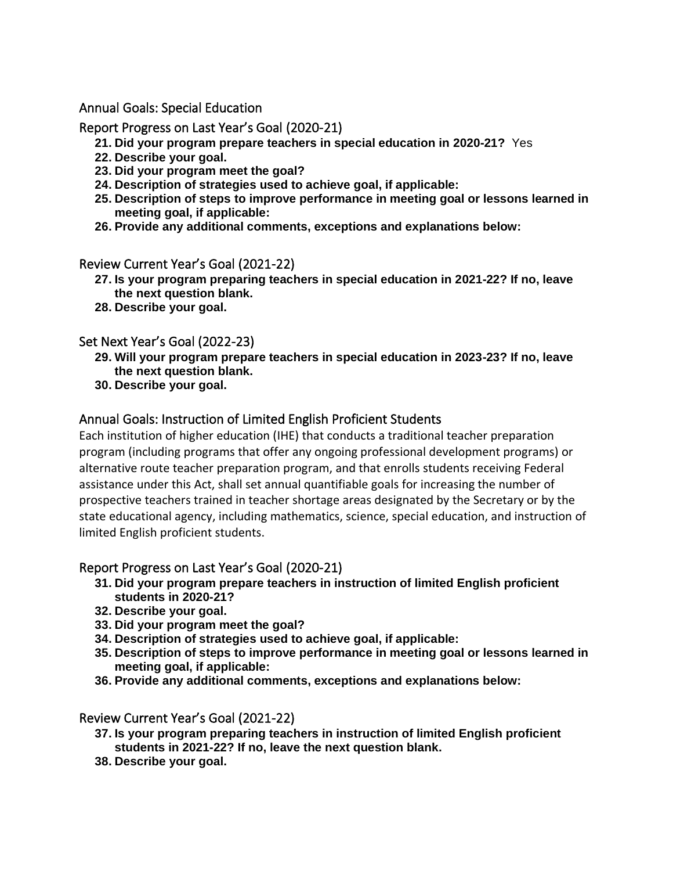#### Annual Goals: Special Education

Report Progress on Last Year's Goal (2020-21)

- **21. Did your program prepare teachers in special education in 2020-21?** Yes
- **22. Describe your goal.**
- **23. Did your program meet the goal?**
- **24. Description of strategies used to achieve goal, if applicable:**
- **25. Description of steps to improve performance in meeting goal or lessons learned in meeting goal, if applicable:**
- **26. Provide any additional comments, exceptions and explanations below:**

#### Review Current Year's Goal (2021-22)

- **27. Is your program preparing teachers in special education in 2021-22? If no, leave the next question blank.**
- **28. Describe your goal.**

#### Set Next Year's Goal (2022-23)

- **29. Will your program prepare teachers in special education in 2023-23? If no, leave the next question blank.**
- **30. Describe your goal.**

#### Annual Goals: Instruction of Limited English Proficient Students

Each institution of higher education (IHE) that conducts a traditional teacher preparation program (including programs that offer any ongoing professional development programs) or alternative route teacher preparation program, and that enrolls students receiving Federal assistance under this Act, shall set annual quantifiable goals for increasing the number of prospective teachers trained in teacher shortage areas designated by the Secretary or by the state educational agency, including mathematics, science, special education, and instruction of limited English proficient students.

#### Report Progress on Last Year's Goal (2020-21)

- **31. Did your program prepare teachers in instruction of limited English proficient students in 2020-21?**
- **32. Describe your goal.**
- **33. Did your program meet the goal?**
- **34. Description of strategies used to achieve goal, if applicable:**
- **35. Description of steps to improve performance in meeting goal or lessons learned in meeting goal, if applicable:**
- **36. Provide any additional comments, exceptions and explanations below:**

#### Review Current Year's Goal (2021-22)

- **37. Is your program preparing teachers in instruction of limited English proficient students in 2021-22? If no, leave the next question blank.**
- **38. Describe your goal.**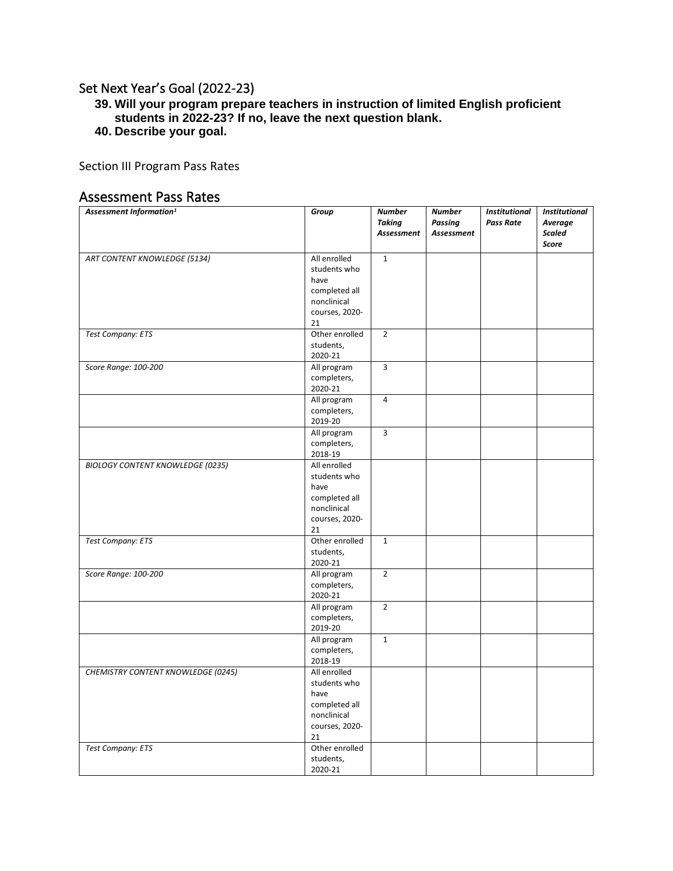#### Set Next Year's Goal (2022-23)

- **39. Will your program prepare teachers in instruction of limited English proficient students in 2022-23? If no, leave the next question blank.**
- **40. Describe your goal.**

Section III Program Pass Rates

#### Assessment Pass Rates

| Assessment Information <sup>1</sup>     | Group                  | <b>Number</b>  | <b>Number</b> | <b>Institutional</b> | <b>Institutional</b> |
|-----------------------------------------|------------------------|----------------|---------------|----------------------|----------------------|
|                                         |                        | <b>Taking</b>  | Passing       | <b>Pass Rate</b>     | Average              |
|                                         |                        | Assessment     | Assessment    |                      | <b>Scaled</b>        |
|                                         |                        |                |               |                      | <b>Score</b>         |
| <b>ART CONTENT KNOWLEDGE (5134)</b>     | All enrolled           | $\mathbf{1}$   |               |                      |                      |
|                                         | students who           |                |               |                      |                      |
|                                         |                        |                |               |                      |                      |
|                                         | have                   |                |               |                      |                      |
|                                         | completed all          |                |               |                      |                      |
|                                         | nonclinical            |                |               |                      |                      |
|                                         | courses, 2020-         |                |               |                      |                      |
|                                         | 21                     |                |               |                      |                      |
| <b>Test Company: ETS</b>                | Other enrolled         | $\overline{2}$ |               |                      |                      |
|                                         | students,              |                |               |                      |                      |
|                                         | 2020-21                |                |               |                      |                      |
| Score Range: 100-200                    | All program            | 3              |               |                      |                      |
|                                         | completers,            |                |               |                      |                      |
|                                         | 2020-21                |                |               |                      |                      |
|                                         | All program            | $\overline{4}$ |               |                      |                      |
|                                         | completers,            |                |               |                      |                      |
|                                         | 2019-20                |                |               |                      |                      |
|                                         | All program            | 3              |               |                      |                      |
|                                         | completers,            |                |               |                      |                      |
|                                         | 2018-19                |                |               |                      |                      |
| <b>BIOLOGY CONTENT KNOWLEDGE (0235)</b> | All enrolled           |                |               |                      |                      |
|                                         | students who           |                |               |                      |                      |
|                                         | have                   |                |               |                      |                      |
|                                         | completed all          |                |               |                      |                      |
|                                         | nonclinical            |                |               |                      |                      |
|                                         | courses, 2020-         |                |               |                      |                      |
|                                         | 21                     |                |               |                      |                      |
| <b>Test Company: ETS</b>                | Other enrolled         | $\mathbf{1}$   |               |                      |                      |
|                                         | students,              |                |               |                      |                      |
|                                         | 2020-21                |                |               |                      |                      |
| Score Range: 100-200                    | All program            | $\overline{2}$ |               |                      |                      |
|                                         | completers,            |                |               |                      |                      |
|                                         | 2020-21                |                |               |                      |                      |
|                                         | All program            | $\overline{2}$ |               |                      |                      |
|                                         |                        |                |               |                      |                      |
|                                         | completers,<br>2019-20 |                |               |                      |                      |
|                                         |                        |                |               |                      |                      |
|                                         | All program            | $\mathbf 1$    |               |                      |                      |
|                                         | completers,            |                |               |                      |                      |
|                                         | 2018-19                |                |               |                      |                      |
| CHEMISTRY CONTENT KNOWLEDGE (0245)      | All enrolled           |                |               |                      |                      |
|                                         | students who           |                |               |                      |                      |
|                                         | have                   |                |               |                      |                      |
|                                         | completed all          |                |               |                      |                      |
|                                         | nonclinical            |                |               |                      |                      |
|                                         | courses, 2020-         |                |               |                      |                      |
|                                         | 21                     |                |               |                      |                      |
| <b>Test Company: ETS</b>                | Other enrolled         |                |               |                      |                      |
|                                         | students,              |                |               |                      |                      |
|                                         | 2020-21                |                |               |                      |                      |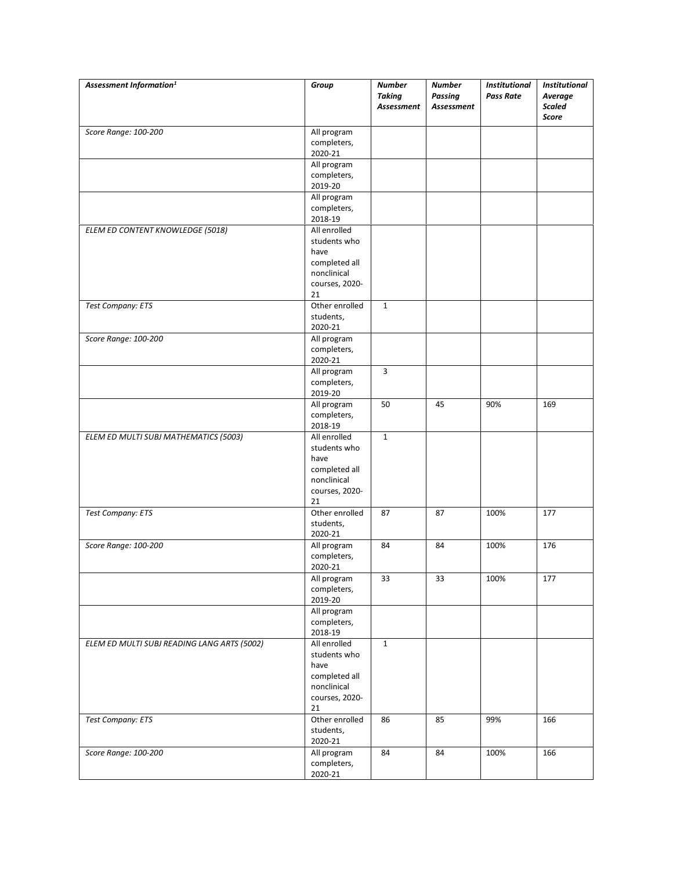| Assessment Information <sup>1</sup>         | Group                        | <b>Number</b>               | <b>Number</b>                | <b>Institutional</b> | <b>Institutional</b>     |
|---------------------------------------------|------------------------------|-----------------------------|------------------------------|----------------------|--------------------------|
|                                             |                              | <b>Taking</b><br>Assessment | <b>Passing</b><br>Assessment | <b>Pass Rate</b>     | Average<br><b>Scaled</b> |
|                                             |                              |                             |                              |                      | <b>Score</b>             |
| Score Range: 100-200                        | All program                  |                             |                              |                      |                          |
|                                             | completers,<br>2020-21       |                             |                              |                      |                          |
|                                             | All program                  |                             |                              |                      |                          |
|                                             | completers,                  |                             |                              |                      |                          |
|                                             | 2019-20                      |                             |                              |                      |                          |
|                                             | All program<br>completers,   |                             |                              |                      |                          |
|                                             | 2018-19                      |                             |                              |                      |                          |
| ELEM ED CONTENT KNOWLEDGE (5018)            | All enrolled                 |                             |                              |                      |                          |
|                                             | students who                 |                             |                              |                      |                          |
|                                             | have                         |                             |                              |                      |                          |
|                                             | completed all<br>nonclinical |                             |                              |                      |                          |
|                                             | courses, 2020-               |                             |                              |                      |                          |
|                                             | 21                           |                             |                              |                      |                          |
| <b>Test Company: ETS</b>                    | Other enrolled               | $\mathbf 1$                 |                              |                      |                          |
|                                             | students,                    |                             |                              |                      |                          |
| Score Range: 100-200                        | 2020-21<br>All program       |                             |                              |                      |                          |
|                                             | completers,                  |                             |                              |                      |                          |
|                                             | 2020-21                      |                             |                              |                      |                          |
|                                             | All program                  | 3                           |                              |                      |                          |
|                                             | completers,<br>2019-20       |                             |                              |                      |                          |
|                                             | All program                  | 50                          | 45                           | 90%                  | 169                      |
|                                             | completers,                  |                             |                              |                      |                          |
|                                             | 2018-19                      |                             |                              |                      |                          |
| ELEM ED MULTI SUBJ MATHEMATICS (5003)       | All enrolled                 | $\mathbf{1}$                |                              |                      |                          |
|                                             | students who<br>have         |                             |                              |                      |                          |
|                                             | completed all                |                             |                              |                      |                          |
|                                             | nonclinical                  |                             |                              |                      |                          |
|                                             | courses, 2020-               |                             |                              |                      |                          |
| <b>Test Company: ETS</b>                    | 21<br>Other enrolled         | 87                          | 87                           | 100%                 | 177                      |
|                                             | students,                    |                             |                              |                      |                          |
|                                             | 2020-21                      |                             |                              |                      |                          |
| Score Range: 100-200                        | All program                  | 84                          | 84                           | 100%                 | 176                      |
|                                             | completers,                  |                             |                              |                      |                          |
|                                             | 2020-21<br>All program       | 33                          | 33                           | 100%                 | 177                      |
|                                             | completers,                  |                             |                              |                      |                          |
|                                             | 2019-20                      |                             |                              |                      |                          |
|                                             | All program                  |                             |                              |                      |                          |
|                                             | completers,<br>2018-19       |                             |                              |                      |                          |
| ELEM ED MULTI SUBJ READING LANG ARTS (5002) | All enrolled                 | $\mathbf{1}$                |                              |                      |                          |
|                                             | students who                 |                             |                              |                      |                          |
|                                             | have                         |                             |                              |                      |                          |
|                                             | completed all<br>nonclinical |                             |                              |                      |                          |
|                                             | courses, 2020-               |                             |                              |                      |                          |
|                                             | 21                           |                             |                              |                      |                          |
| <b>Test Company: ETS</b>                    | Other enrolled               | 86                          | 85                           | 99%                  | 166                      |
|                                             | students,                    |                             |                              |                      |                          |
|                                             | 2020-21                      |                             |                              |                      |                          |
| Score Range: 100-200                        | All program<br>completers,   | 84                          | 84                           | 100%                 | 166                      |
|                                             | 2020-21                      |                             |                              |                      |                          |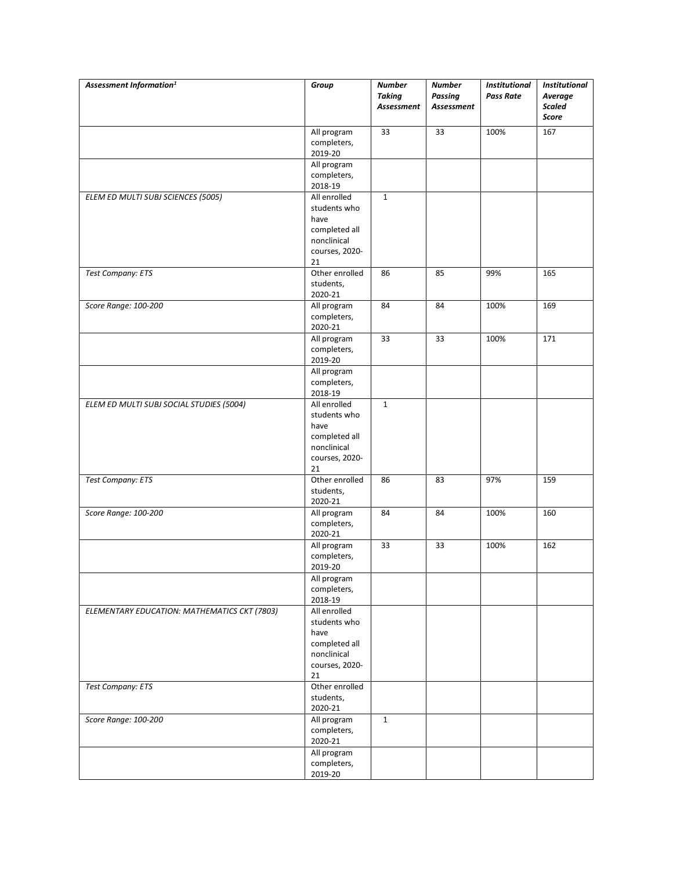| Assessment Information <sup>1</sup>          | Group                                                                                        | <b>Number</b><br><b>Taking</b><br>Assessment | <b>Number</b><br><b>Passing</b><br>Assessment | <b>Institutional</b><br><b>Pass Rate</b> | <b>Institutional</b><br>Average<br><b>Scaled</b><br><b>Score</b> |
|----------------------------------------------|----------------------------------------------------------------------------------------------|----------------------------------------------|-----------------------------------------------|------------------------------------------|------------------------------------------------------------------|
|                                              | All program<br>completers,<br>2019-20                                                        | 33                                           | 33                                            | 100%                                     | 167                                                              |
|                                              | All program<br>completers,<br>2018-19                                                        |                                              |                                               |                                          |                                                                  |
| ELEM ED MULTI SUBJ SCIENCES (5005)           | All enrolled<br>students who<br>have<br>completed all<br>nonclinical<br>courses, 2020-<br>21 | $\mathbf{1}$                                 |                                               |                                          |                                                                  |
| <b>Test Company: ETS</b>                     | Other enrolled<br>students,<br>2020-21                                                       | 86                                           | 85                                            | 99%                                      | 165                                                              |
| Score Range: 100-200                         | All program<br>completers,<br>2020-21                                                        | 84                                           | 84                                            | 100%                                     | 169                                                              |
|                                              | All program<br>completers,<br>2019-20<br>All program                                         | 33                                           | 33                                            | 100%                                     | 171                                                              |
|                                              | completers,<br>2018-19                                                                       |                                              |                                               |                                          |                                                                  |
| ELEM ED MULTI SUBJ SOCIAL STUDIES (5004)     | All enrolled<br>students who<br>have<br>completed all<br>nonclinical<br>courses, 2020-<br>21 | $\mathbf{1}$                                 |                                               |                                          |                                                                  |
| <b>Test Company: ETS</b>                     | Other enrolled<br>students,<br>2020-21                                                       | 86                                           | 83                                            | 97%                                      | 159                                                              |
| Score Range: 100-200                         | All program<br>completers,<br>2020-21                                                        | 84                                           | 84                                            | 100%                                     | 160                                                              |
|                                              | All program<br>completers,<br>2019-20<br>All program                                         | 33                                           | 33                                            | 100%                                     | 162                                                              |
|                                              | completers,<br>2018-19                                                                       |                                              |                                               |                                          |                                                                  |
| ELEMENTARY EDUCATION: MATHEMATICS CKT (7803) | All enrolled<br>students who<br>have<br>completed all<br>nonclinical<br>courses, 2020-<br>21 |                                              |                                               |                                          |                                                                  |
| <b>Test Company: ETS</b>                     | Other enrolled<br>students,<br>2020-21                                                       |                                              |                                               |                                          |                                                                  |
| Score Range: 100-200                         | All program<br>completers,<br>2020-21                                                        | $\mathbf{1}$                                 |                                               |                                          |                                                                  |
|                                              | All program<br>completers,<br>2019-20                                                        |                                              |                                               |                                          |                                                                  |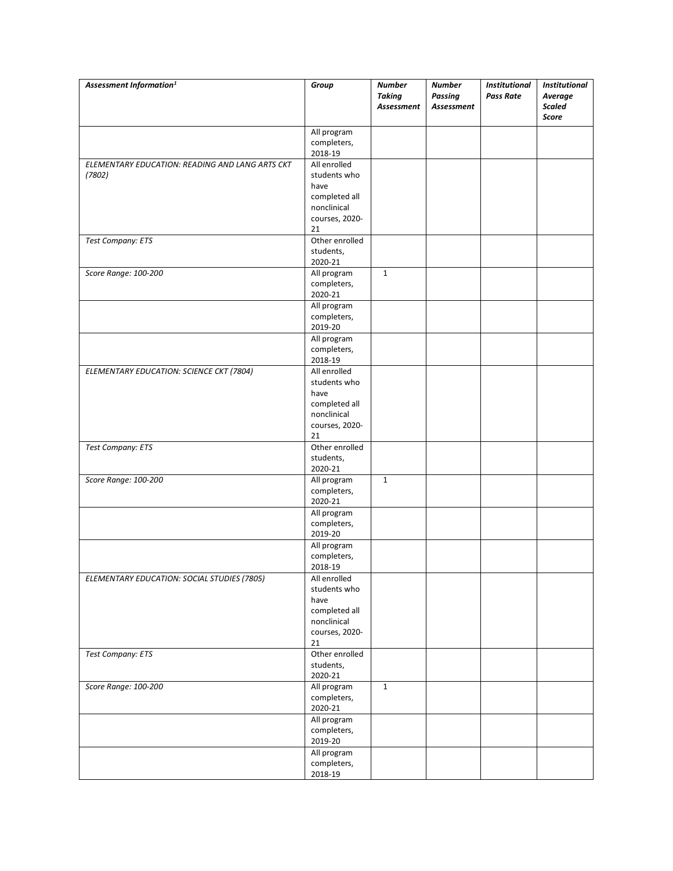| Assessment Information <sup>1</sup>                       | Group                                                                                        | <b>Number</b><br><b>Taking</b><br>Assessment | <b>Number</b><br>Passing<br>Assessment | <b>Institutional</b><br><b>Pass Rate</b> | <b>Institutional</b><br>Average<br><b>Scaled</b><br>Score |
|-----------------------------------------------------------|----------------------------------------------------------------------------------------------|----------------------------------------------|----------------------------------------|------------------------------------------|-----------------------------------------------------------|
|                                                           | All program<br>completers,<br>2018-19                                                        |                                              |                                        |                                          |                                                           |
| ELEMENTARY EDUCATION: READING AND LANG ARTS CKT<br>(7802) | All enrolled<br>students who<br>have<br>completed all<br>nonclinical<br>courses, 2020-<br>21 |                                              |                                        |                                          |                                                           |
| <b>Test Company: ETS</b>                                  | Other enrolled<br>students,<br>2020-21                                                       |                                              |                                        |                                          |                                                           |
| Score Range: 100-200                                      | All program<br>completers,<br>2020-21                                                        | $\mathbf{1}$                                 |                                        |                                          |                                                           |
|                                                           | All program<br>completers,<br>2019-20<br>All program                                         |                                              |                                        |                                          |                                                           |
|                                                           | completers,<br>2018-19                                                                       |                                              |                                        |                                          |                                                           |
| ELEMENTARY EDUCATION: SCIENCE CKT (7804)                  | All enrolled<br>students who<br>have<br>completed all<br>nonclinical<br>courses, 2020-<br>21 |                                              |                                        |                                          |                                                           |
| <b>Test Company: ETS</b>                                  | Other enrolled<br>students,<br>2020-21                                                       |                                              |                                        |                                          |                                                           |
| Score Range: 100-200                                      | All program<br>completers,<br>2020-21                                                        | $\mathbf 1$                                  |                                        |                                          |                                                           |
|                                                           | All program<br>completers,<br>2019-20                                                        |                                              |                                        |                                          |                                                           |
|                                                           | All program<br>completers,<br>2018-19                                                        |                                              |                                        |                                          |                                                           |
| ELEMENTARY EDUCATION: SOCIAL STUDIES (7805)               | All enrolled<br>students who<br>have<br>completed all<br>nonclinical<br>courses, 2020-<br>21 |                                              |                                        |                                          |                                                           |
| <b>Test Company: ETS</b>                                  | Other enrolled<br>students,<br>2020-21                                                       |                                              |                                        |                                          |                                                           |
| Score Range: 100-200                                      | All program<br>completers,<br>2020-21                                                        | $\mathbf 1$                                  |                                        |                                          |                                                           |
|                                                           | All program<br>completers,<br>2019-20                                                        |                                              |                                        |                                          |                                                           |
|                                                           | All program<br>completers,<br>2018-19                                                        |                                              |                                        |                                          |                                                           |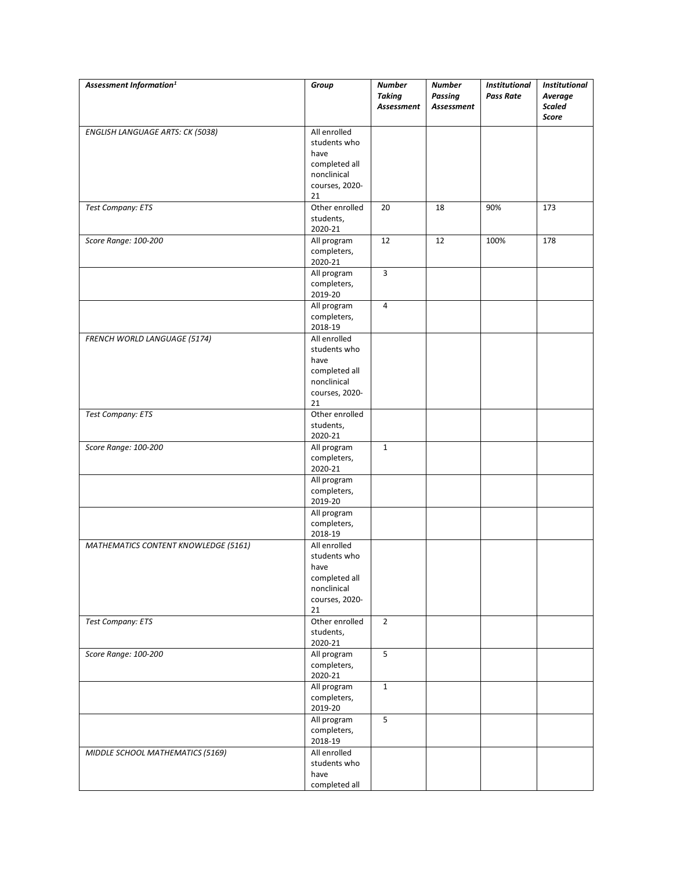| Assessment Information <sup>1</sup>     | Group                         | <b>Number</b><br><b>Taking</b> | <b>Number</b><br><b>Passing</b> | <b>Institutional</b><br><b>Pass Rate</b> | <b>Institutional</b><br>Average |
|-----------------------------------------|-------------------------------|--------------------------------|---------------------------------|------------------------------------------|---------------------------------|
|                                         |                               | Assessment                     | Assessment                      |                                          | <b>Scaled</b><br>Score          |
| <b>ENGLISH LANGUAGE ARTS: CK (5038)</b> | All enrolled                  |                                |                                 |                                          |                                 |
|                                         | students who                  |                                |                                 |                                          |                                 |
|                                         | have                          |                                |                                 |                                          |                                 |
|                                         | completed all                 |                                |                                 |                                          |                                 |
|                                         | nonclinical                   |                                |                                 |                                          |                                 |
|                                         | courses, 2020-<br>21          |                                |                                 |                                          |                                 |
| <b>Test Company: ETS</b>                | Other enrolled                | 20                             | 18                              | 90%                                      | 173                             |
|                                         | students,                     |                                |                                 |                                          |                                 |
|                                         | 2020-21                       |                                |                                 |                                          |                                 |
| Score Range: 100-200                    | All program<br>completers,    | 12                             | 12                              | 100%                                     | 178                             |
|                                         | 2020-21                       |                                |                                 |                                          |                                 |
|                                         | All program                   | $\mathsf{3}$                   |                                 |                                          |                                 |
|                                         | completers,                   |                                |                                 |                                          |                                 |
|                                         | 2019-20                       |                                |                                 |                                          |                                 |
|                                         | All program<br>completers,    | $\overline{4}$                 |                                 |                                          |                                 |
|                                         | 2018-19                       |                                |                                 |                                          |                                 |
| FRENCH WORLD LANGUAGE (5174)            | All enrolled                  |                                |                                 |                                          |                                 |
|                                         | students who                  |                                |                                 |                                          |                                 |
|                                         | have                          |                                |                                 |                                          |                                 |
|                                         | completed all                 |                                |                                 |                                          |                                 |
|                                         | nonclinical                   |                                |                                 |                                          |                                 |
|                                         | courses, 2020-<br>21          |                                |                                 |                                          |                                 |
| <b>Test Company: ETS</b>                | Other enrolled                |                                |                                 |                                          |                                 |
|                                         | students,                     |                                |                                 |                                          |                                 |
|                                         | 2020-21                       |                                |                                 |                                          |                                 |
| Score Range: 100-200                    | All program                   | $\mathbf 1$                    |                                 |                                          |                                 |
|                                         | completers,<br>2020-21        |                                |                                 |                                          |                                 |
|                                         | All program                   |                                |                                 |                                          |                                 |
|                                         | completers,                   |                                |                                 |                                          |                                 |
|                                         | 2019-20                       |                                |                                 |                                          |                                 |
|                                         | All program                   |                                |                                 |                                          |                                 |
|                                         | completers,<br>2018-19        |                                |                                 |                                          |                                 |
| MATHEMATICS CONTENT KNOWLEDGE (5161)    | All enrolled                  |                                |                                 |                                          |                                 |
|                                         | students who                  |                                |                                 |                                          |                                 |
|                                         | have                          |                                |                                 |                                          |                                 |
|                                         | completed all                 |                                |                                 |                                          |                                 |
|                                         | nonclinical<br>courses, 2020- |                                |                                 |                                          |                                 |
|                                         | 21                            |                                |                                 |                                          |                                 |
| <b>Test Company: ETS</b>                | Other enrolled                | $\overline{2}$                 |                                 |                                          |                                 |
|                                         | students,                     |                                |                                 |                                          |                                 |
| Score Range: 100-200                    | 2020-21                       |                                |                                 |                                          |                                 |
|                                         | All program<br>completers,    | $\mathsf S$                    |                                 |                                          |                                 |
|                                         | 2020-21                       |                                |                                 |                                          |                                 |
|                                         | All program                   | $\mathbf{1}$                   |                                 |                                          |                                 |
|                                         | completers,                   |                                |                                 |                                          |                                 |
|                                         | 2019-20                       |                                |                                 |                                          |                                 |
|                                         | All program<br>completers,    | 5                              |                                 |                                          |                                 |
|                                         | 2018-19                       |                                |                                 |                                          |                                 |
| MIDDLE SCHOOL MATHEMATICS (5169)        | All enrolled                  |                                |                                 |                                          |                                 |
|                                         | students who                  |                                |                                 |                                          |                                 |
|                                         | have                          |                                |                                 |                                          |                                 |
|                                         | completed all                 |                                |                                 |                                          |                                 |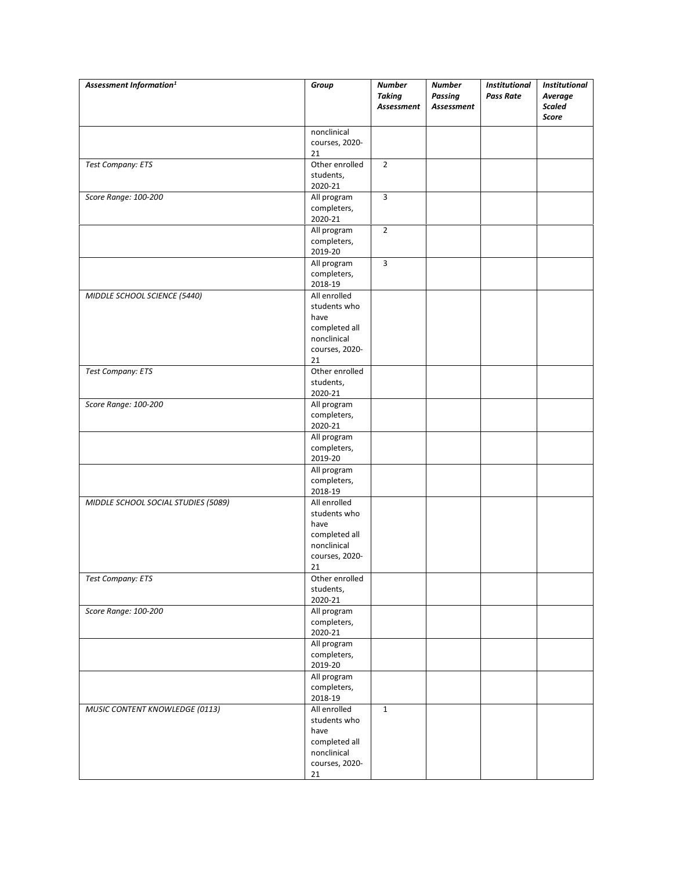| Assessment Information <sup>1</sup>   | Group                        | <b>Number</b>               | <b>Number</b>                | <b>Institutional</b> | <b>Institutional</b>              |
|---------------------------------------|------------------------------|-----------------------------|------------------------------|----------------------|-----------------------------------|
|                                       |                              | <b>Taking</b><br>Assessment | <b>Passing</b><br>Assessment | <b>Pass Rate</b>     | Average<br><b>Scaled</b><br>Score |
|                                       | nonclinical                  |                             |                              |                      |                                   |
|                                       | courses, 2020-               |                             |                              |                      |                                   |
|                                       | 21                           |                             |                              |                      |                                   |
| <b>Test Company: ETS</b>              | Other enrolled               | $\overline{2}$              |                              |                      |                                   |
|                                       | students,                    |                             |                              |                      |                                   |
|                                       | 2020-21                      |                             |                              |                      |                                   |
| Score Range: 100-200                  | All program<br>completers,   | $\mathsf 3$                 |                              |                      |                                   |
|                                       | 2020-21                      |                             |                              |                      |                                   |
|                                       | All program                  | $\overline{2}$              |                              |                      |                                   |
|                                       | completers,                  |                             |                              |                      |                                   |
|                                       | 2019-20                      |                             |                              |                      |                                   |
|                                       | All program                  | $\mathsf 3$                 |                              |                      |                                   |
|                                       | completers,                  |                             |                              |                      |                                   |
| MIDDLE SCHOOL SCIENCE (5440)          | 2018-19<br>All enrolled      |                             |                              |                      |                                   |
|                                       | students who                 |                             |                              |                      |                                   |
|                                       | have                         |                             |                              |                      |                                   |
|                                       | completed all                |                             |                              |                      |                                   |
|                                       | nonclinical                  |                             |                              |                      |                                   |
|                                       | courses, 2020-               |                             |                              |                      |                                   |
|                                       | 21                           |                             |                              |                      |                                   |
| <b>Test Company: ETS</b>              | Other enrolled<br>students,  |                             |                              |                      |                                   |
|                                       | 2020-21                      |                             |                              |                      |                                   |
| Score Range: 100-200                  | All program                  |                             |                              |                      |                                   |
|                                       | completers,                  |                             |                              |                      |                                   |
|                                       | 2020-21                      |                             |                              |                      |                                   |
|                                       | All program                  |                             |                              |                      |                                   |
|                                       | completers,<br>2019-20       |                             |                              |                      |                                   |
|                                       | All program                  |                             |                              |                      |                                   |
|                                       | completers,                  |                             |                              |                      |                                   |
|                                       | 2018-19                      |                             |                              |                      |                                   |
| MIDDLE SCHOOL SOCIAL STUDIES (5089)   | All enrolled                 |                             |                              |                      |                                   |
|                                       | students who                 |                             |                              |                      |                                   |
|                                       | have                         |                             |                              |                      |                                   |
|                                       | completed all<br>nonclinical |                             |                              |                      |                                   |
|                                       | courses, 2020-               |                             |                              |                      |                                   |
|                                       | 21                           |                             |                              |                      |                                   |
| <b>Test Company: ETS</b>              | Other enrolled               |                             |                              |                      |                                   |
|                                       | students,                    |                             |                              |                      |                                   |
|                                       | 2020-21                      |                             |                              |                      |                                   |
| Score Range: 100-200                  | All program<br>completers,   |                             |                              |                      |                                   |
|                                       | 2020-21                      |                             |                              |                      |                                   |
|                                       | All program                  |                             |                              |                      |                                   |
|                                       | completers,                  |                             |                              |                      |                                   |
|                                       | 2019-20                      |                             |                              |                      |                                   |
|                                       | All program                  |                             |                              |                      |                                   |
|                                       | completers,<br>2018-19       |                             |                              |                      |                                   |
| <b>MUSIC CONTENT KNOWLEDGE (0113)</b> | All enrolled                 | $\mathbf{1}$                |                              |                      |                                   |
|                                       | students who                 |                             |                              |                      |                                   |
|                                       | have                         |                             |                              |                      |                                   |
|                                       | completed all                |                             |                              |                      |                                   |
|                                       | nonclinical                  |                             |                              |                      |                                   |
|                                       | courses, 2020-               |                             |                              |                      |                                   |
|                                       | 21                           |                             |                              |                      |                                   |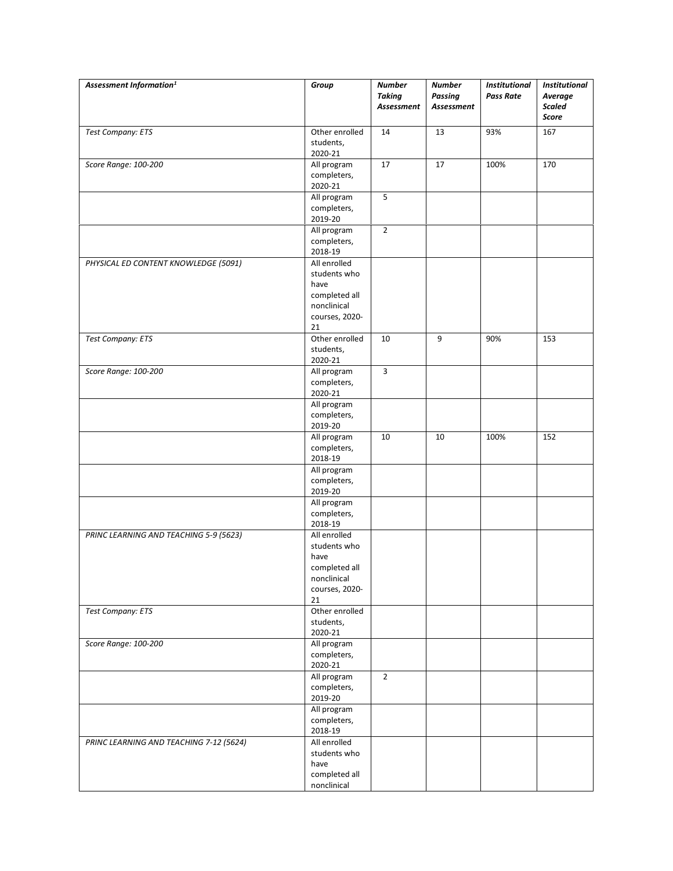| Assessment Information <sup>1</sup>     | Group                         | <b>Number</b><br><b>Taking</b><br>Assessment | <b>Number</b><br><b>Passing</b><br>Assessment | <b>Institutional</b><br><b>Pass Rate</b> | <b>Institutional</b><br>Average<br><b>Scaled</b><br>Score |
|-----------------------------------------|-------------------------------|----------------------------------------------|-----------------------------------------------|------------------------------------------|-----------------------------------------------------------|
| <b>Test Company: ETS</b>                | Other enrolled<br>students,   | 14                                           | 13                                            | 93%                                      | 167                                                       |
|                                         | 2020-21                       |                                              |                                               |                                          |                                                           |
| Score Range: 100-200                    | All program<br>completers,    | 17                                           | 17                                            | 100%                                     | 170                                                       |
|                                         | 2020-21                       |                                              |                                               |                                          |                                                           |
|                                         | All program                   | $\sf 5$                                      |                                               |                                          |                                                           |
|                                         | completers,                   |                                              |                                               |                                          |                                                           |
|                                         | 2019-20<br>All program        | $\overline{2}$                               |                                               |                                          |                                                           |
|                                         | completers,                   |                                              |                                               |                                          |                                                           |
|                                         | 2018-19                       |                                              |                                               |                                          |                                                           |
| PHYSICAL ED CONTENT KNOWLEDGE (5091)    | All enrolled<br>students who  |                                              |                                               |                                          |                                                           |
|                                         | have                          |                                              |                                               |                                          |                                                           |
|                                         | completed all<br>nonclinical  |                                              |                                               |                                          |                                                           |
|                                         | courses, 2020-<br>21          |                                              |                                               |                                          |                                                           |
| <b>Test Company: ETS</b>                | Other enrolled                | 10                                           | 9                                             | 90%                                      | 153                                                       |
|                                         | students,<br>2020-21          |                                              |                                               |                                          |                                                           |
| Score Range: 100-200                    | All program                   | $\mathsf 3$                                  |                                               |                                          |                                                           |
|                                         | completers,<br>2020-21        |                                              |                                               |                                          |                                                           |
|                                         | All program                   |                                              |                                               |                                          |                                                           |
|                                         | completers,                   |                                              |                                               |                                          |                                                           |
|                                         | 2019-20                       |                                              |                                               |                                          |                                                           |
|                                         | All program<br>completers,    | 10                                           | 10                                            | 100%                                     | 152                                                       |
|                                         | 2018-19                       |                                              |                                               |                                          |                                                           |
|                                         | All program                   |                                              |                                               |                                          |                                                           |
|                                         | completers,<br>2019-20        |                                              |                                               |                                          |                                                           |
|                                         | All program                   |                                              |                                               |                                          |                                                           |
|                                         | completers,                   |                                              |                                               |                                          |                                                           |
|                                         | 2018-19<br>All enrolled       |                                              |                                               |                                          |                                                           |
| PRINC LEARNING AND TEACHING 5-9 (5623)  | students who                  |                                              |                                               |                                          |                                                           |
|                                         | have                          |                                              |                                               |                                          |                                                           |
|                                         | completed all                 |                                              |                                               |                                          |                                                           |
|                                         | nonclinical<br>courses, 2020- |                                              |                                               |                                          |                                                           |
|                                         | 21                            |                                              |                                               |                                          |                                                           |
| <b>Test Company: ETS</b>                | Other enrolled                |                                              |                                               |                                          |                                                           |
|                                         | students,                     |                                              |                                               |                                          |                                                           |
| Score Range: 100-200                    | 2020-21<br>All program        |                                              |                                               |                                          |                                                           |
|                                         | completers,                   |                                              |                                               |                                          |                                                           |
|                                         | 2020-21                       |                                              |                                               |                                          |                                                           |
|                                         | All program<br>completers,    | $\overline{2}$                               |                                               |                                          |                                                           |
|                                         | 2019-20                       |                                              |                                               |                                          |                                                           |
|                                         | All program                   |                                              |                                               |                                          |                                                           |
|                                         | completers,<br>2018-19        |                                              |                                               |                                          |                                                           |
| PRINC LEARNING AND TEACHING 7-12 (5624) | All enrolled                  |                                              |                                               |                                          |                                                           |
|                                         | students who                  |                                              |                                               |                                          |                                                           |
|                                         | have<br>completed all         |                                              |                                               |                                          |                                                           |
|                                         | nonclinical                   |                                              |                                               |                                          |                                                           |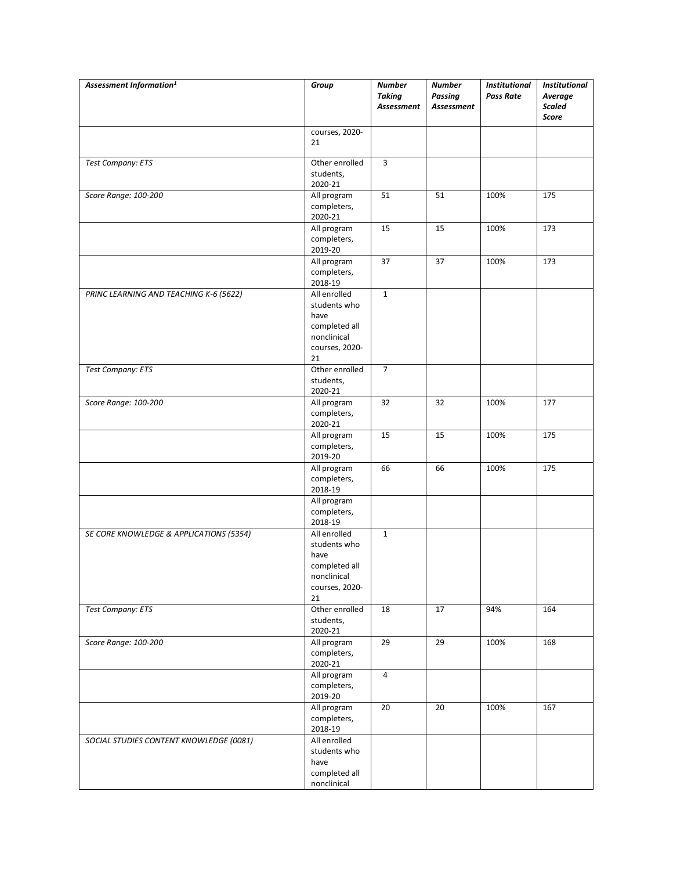| Assessment Information <sup>1</sup>     | Group                        | <b>Number</b><br><b>Taking</b> | <b>Number</b><br><b>Passing</b> | <b>Institutional</b><br><b>Pass Rate</b> | <b>Institutional</b><br>Average |
|-----------------------------------------|------------------------------|--------------------------------|---------------------------------|------------------------------------------|---------------------------------|
|                                         |                              | Assessment                     | Assessment                      |                                          | <b>Scaled</b><br><b>Score</b>   |
|                                         | courses, 2020-<br>21         |                                |                                 |                                          |                                 |
|                                         |                              |                                |                                 |                                          |                                 |
| Test Company: ETS                       | Other enrolled<br>students,  | 3                              |                                 |                                          |                                 |
|                                         | 2020-21                      |                                |                                 |                                          |                                 |
| Score Range: 100-200                    | All program                  | 51                             | 51                              | 100%                                     | 175                             |
|                                         | completers,                  |                                |                                 |                                          |                                 |
|                                         | 2020-21                      |                                |                                 |                                          |                                 |
|                                         | All program<br>completers,   | 15                             | 15                              | 100%                                     | 173                             |
|                                         | 2019-20                      |                                |                                 |                                          |                                 |
|                                         | All program                  | 37                             | 37                              | 100%                                     | 173                             |
|                                         | completers,                  |                                |                                 |                                          |                                 |
|                                         | 2018-19                      |                                |                                 |                                          |                                 |
| PRINC LEARNING AND TEACHING K-6 (5622)  | All enrolled<br>students who | $\mathbf{1}$                   |                                 |                                          |                                 |
|                                         | have                         |                                |                                 |                                          |                                 |
|                                         | completed all                |                                |                                 |                                          |                                 |
|                                         | nonclinical                  |                                |                                 |                                          |                                 |
|                                         | courses, 2020-               |                                |                                 |                                          |                                 |
|                                         | 21<br>Other enrolled         |                                |                                 |                                          |                                 |
| Test Company: ETS                       | students,                    | $\overline{7}$                 |                                 |                                          |                                 |
|                                         | 2020-21                      |                                |                                 |                                          |                                 |
| Score Range: 100-200                    | All program                  | 32                             | 32                              | 100%                                     | 177                             |
|                                         | completers,                  |                                |                                 |                                          |                                 |
|                                         | 2020-21                      |                                |                                 |                                          |                                 |
|                                         | All program<br>completers,   | 15                             | 15                              | 100%                                     | 175                             |
|                                         | 2019-20                      |                                |                                 |                                          |                                 |
|                                         | All program                  | 66                             | 66                              | 100%                                     | 175                             |
|                                         | completers,                  |                                |                                 |                                          |                                 |
|                                         | 2018-19                      |                                |                                 |                                          |                                 |
|                                         | All program<br>completers,   |                                |                                 |                                          |                                 |
|                                         | 2018-19                      |                                |                                 |                                          |                                 |
| SE CORE KNOWLEDGE & APPLICATIONS (5354) | All enrolled                 | $\mathbf{1}$                   |                                 |                                          |                                 |
|                                         | students who                 |                                |                                 |                                          |                                 |
|                                         | have<br>completed all        |                                |                                 |                                          |                                 |
|                                         | nonclinical                  |                                |                                 |                                          |                                 |
|                                         | courses, 2020-               |                                |                                 |                                          |                                 |
|                                         | 21                           |                                |                                 |                                          |                                 |
| <b>Test Company: ETS</b>                | Other enrolled               | 18                             | $17\,$                          | 94%                                      | 164                             |
|                                         | students,<br>2020-21         |                                |                                 |                                          |                                 |
| Score Range: 100-200                    | All program                  | 29                             | 29                              | 100%                                     | 168                             |
|                                         | completers,                  |                                |                                 |                                          |                                 |
|                                         | 2020-21                      |                                |                                 |                                          |                                 |
|                                         | All program                  | 4                              |                                 |                                          |                                 |
|                                         | completers,<br>2019-20       |                                |                                 |                                          |                                 |
|                                         | All program                  | 20                             | 20                              | 100%                                     | 167                             |
|                                         | completers,                  |                                |                                 |                                          |                                 |
|                                         | 2018-19                      |                                |                                 |                                          |                                 |
| SOCIAL STUDIES CONTENT KNOWLEDGE (0081) | All enrolled                 |                                |                                 |                                          |                                 |
|                                         | students who<br>have         |                                |                                 |                                          |                                 |
|                                         | completed all                |                                |                                 |                                          |                                 |
|                                         | nonclinical                  |                                |                                 |                                          |                                 |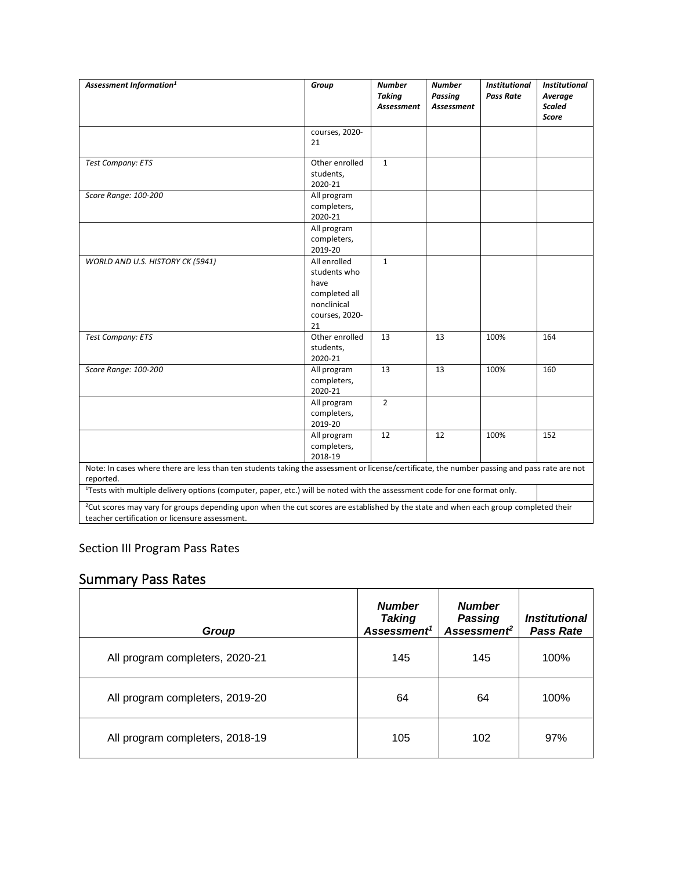| Assessment Information <sup>1</sup>                                                                                                                                                               | Group                                                                                        | <b>Number</b><br><b>Taking</b><br>Assessment | <b>Number</b><br>Passing<br>Assessment | <b>Institutional</b><br><b>Pass Rate</b> | <b>Institutional</b><br>Average<br><b>Scaled</b><br><b>Score</b> |
|---------------------------------------------------------------------------------------------------------------------------------------------------------------------------------------------------|----------------------------------------------------------------------------------------------|----------------------------------------------|----------------------------------------|------------------------------------------|------------------------------------------------------------------|
|                                                                                                                                                                                                   | courses, 2020-<br>21                                                                         |                                              |                                        |                                          |                                                                  |
| <b>Test Company: ETS</b>                                                                                                                                                                          | Other enrolled<br>students,<br>2020-21                                                       | $\mathbf{1}$                                 |                                        |                                          |                                                                  |
| Score Range: 100-200                                                                                                                                                                              | All program<br>completers,<br>2020-21                                                        |                                              |                                        |                                          |                                                                  |
|                                                                                                                                                                                                   | All program<br>completers,<br>2019-20                                                        |                                              |                                        |                                          |                                                                  |
| WORLD AND U.S. HISTORY CK (5941)                                                                                                                                                                  | All enrolled<br>students who<br>have<br>completed all<br>nonclinical<br>courses, 2020-<br>21 | $\mathbf{1}$                                 |                                        |                                          |                                                                  |
| <b>Test Company: ETS</b>                                                                                                                                                                          | Other enrolled<br>students,<br>2020-21                                                       | 13                                           | 13                                     | 100%                                     | 164                                                              |
| Score Range: 100-200                                                                                                                                                                              | All program<br>completers,<br>2020-21                                                        | 13                                           | 13                                     | 100%                                     | 160                                                              |
|                                                                                                                                                                                                   | All program<br>completers,<br>2019-20                                                        | $\overline{2}$                               |                                        |                                          |                                                                  |
|                                                                                                                                                                                                   | All program<br>completers,<br>2018-19                                                        | 12                                           | 12                                     | 100%                                     | 152                                                              |
| Note: In cases where there are less than ten students taking the assessment or license/certificate, the number passing and pass rate are not<br>reported.                                         |                                                                                              |                                              |                                        |                                          |                                                                  |
| <sup>1</sup> Tests with multiple delivery options (computer, paper, etc.) will be noted with the assessment code for one format only.                                                             |                                                                                              |                                              |                                        |                                          |                                                                  |
| <sup>2</sup> Cut scores may vary for groups depending upon when the cut scores are established by the state and when each group completed their<br>teacher certification or licensure assessment. |                                                                                              |                                              |                                        |                                          |                                                                  |

### Section III Program Pass Rates

## Summary Pass Rates

| Group                           | <b>Number</b><br><b>Taking</b><br>Assessment <sup>1</sup> | <b>Number</b><br><b>Passing</b><br>Assessment <sup>2</sup> | <i><b>Institutional</b></i><br><b>Pass Rate</b> |
|---------------------------------|-----------------------------------------------------------|------------------------------------------------------------|-------------------------------------------------|
| All program completers, 2020-21 | 145                                                       | 145                                                        | 100%                                            |
| All program completers, 2019-20 | 64                                                        | 64                                                         | 100%                                            |
| All program completers, 2018-19 | 105                                                       | 102                                                        | 97%                                             |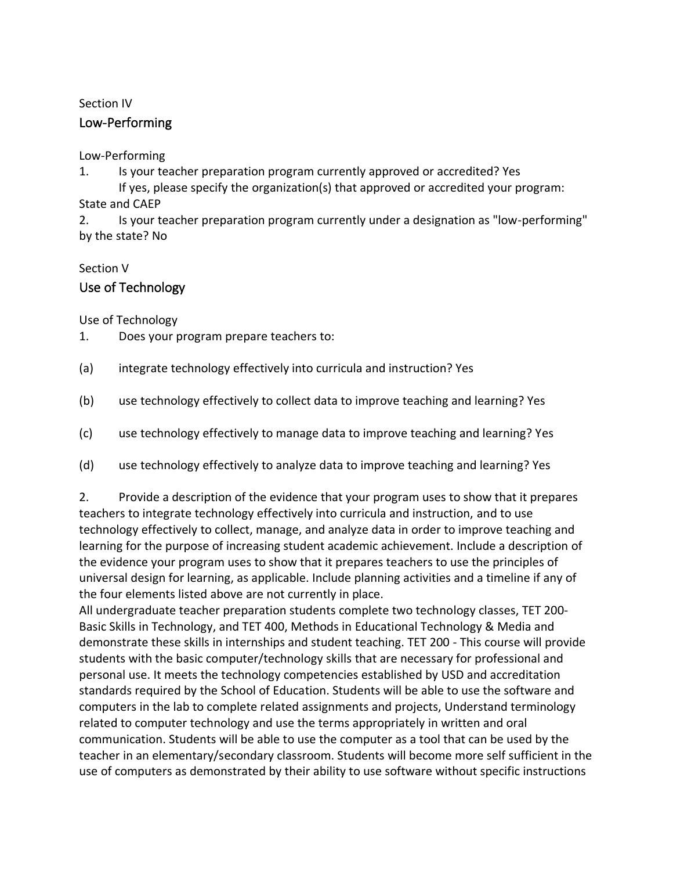### Section IV

### Low-Performing

Low-Performing

1. Is your teacher preparation program currently approved or accredited? Yes If yes, please specify the organization(s) that approved or accredited your program: State and CAEP

2. Is your teacher preparation program currently under a designation as "low-performing" by the state? No

### Section V

### Use of Technology

Use of Technology

1. Does your program prepare teachers to:

- (a) integrate technology effectively into curricula and instruction? Yes
- (b) use technology effectively to collect data to improve teaching and learning? Yes
- (c) use technology effectively to manage data to improve teaching and learning? Yes
- (d) use technology effectively to analyze data to improve teaching and learning? Yes

2. Provide a description of the evidence that your program uses to show that it prepares teachers to integrate technology effectively into curricula and instruction, and to use technology effectively to collect, manage, and analyze data in order to improve teaching and learning for the purpose of increasing student academic achievement. Include a description of the evidence your program uses to show that it prepares teachers to use the principles of universal design for learning, as applicable. Include planning activities and a timeline if any of the four elements listed above are not currently in place.

All undergraduate teacher preparation students complete two technology classes, TET 200- Basic Skills in Technology, and TET 400, Methods in Educational Technology & Media and demonstrate these skills in internships and student teaching. TET 200 - This course will provide students with the basic computer/technology skills that are necessary for professional and personal use. It meets the technology competencies established by USD and accreditation standards required by the School of Education. Students will be able to use the software and computers in the lab to complete related assignments and projects, Understand terminology related to computer technology and use the terms appropriately in written and oral communication. Students will be able to use the computer as a tool that can be used by the teacher in an elementary/secondary classroom. Students will become more self sufficient in the use of computers as demonstrated by their ability to use software without specific instructions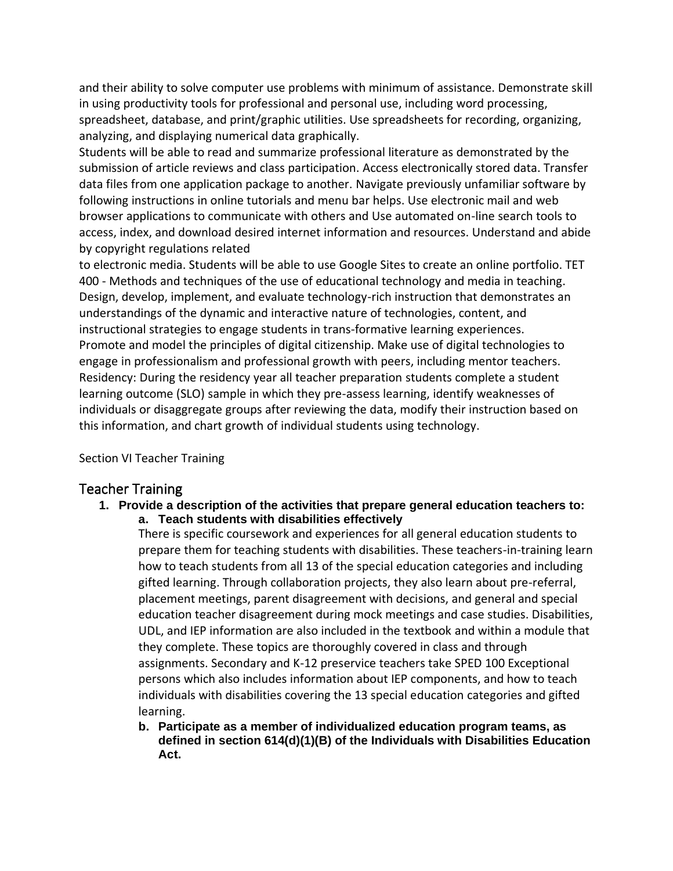and their ability to solve computer use problems with minimum of assistance. Demonstrate skill in using productivity tools for professional and personal use, including word processing, spreadsheet, database, and print/graphic utilities. Use spreadsheets for recording, organizing, analyzing, and displaying numerical data graphically.

Students will be able to read and summarize professional literature as demonstrated by the submission of article reviews and class participation. Access electronically stored data. Transfer data files from one application package to another. Navigate previously unfamiliar software by following instructions in online tutorials and menu bar helps. Use electronic mail and web browser applications to communicate with others and Use automated on-line search tools to access, index, and download desired internet information and resources. Understand and abide by copyright regulations related

to electronic media. Students will be able to use Google Sites to create an online portfolio. TET 400 - Methods and techniques of the use of educational technology and media in teaching. Design, develop, implement, and evaluate technology-rich instruction that demonstrates an understandings of the dynamic and interactive nature of technologies, content, and instructional strategies to engage students in trans-formative learning experiences. Promote and model the principles of digital citizenship. Make use of digital technologies to engage in professionalism and professional growth with peers, including mentor teachers. Residency: During the residency year all teacher preparation students complete a student learning outcome (SLO) sample in which they pre-assess learning, identify weaknesses of individuals or disaggregate groups after reviewing the data, modify their instruction based on this information, and chart growth of individual students using technology.

#### Section VI Teacher Training

#### Teacher Training

**1. Provide a description of the activities that prepare general education teachers to: a. Teach students with disabilities effectively**

There is specific coursework and experiences for all general education students to prepare them for teaching students with disabilities. These teachers-in-training learn how to teach students from all 13 of the special education categories and including gifted learning. Through collaboration projects, they also learn about pre-referral, placement meetings, parent disagreement with decisions, and general and special education teacher disagreement during mock meetings and case studies. Disabilities, UDL, and IEP information are also included in the textbook and within a module that they complete. These topics are thoroughly covered in class and through assignments. Secondary and K-12 preservice teachers take SPED 100 Exceptional persons which also includes information about IEP components, and how to teach individuals with disabilities covering the 13 special education categories and gifted learning.

**b. Participate as a member of individualized education program teams, as defined in section 614(d)(1)(B) of the Individuals with Disabilities Education Act.**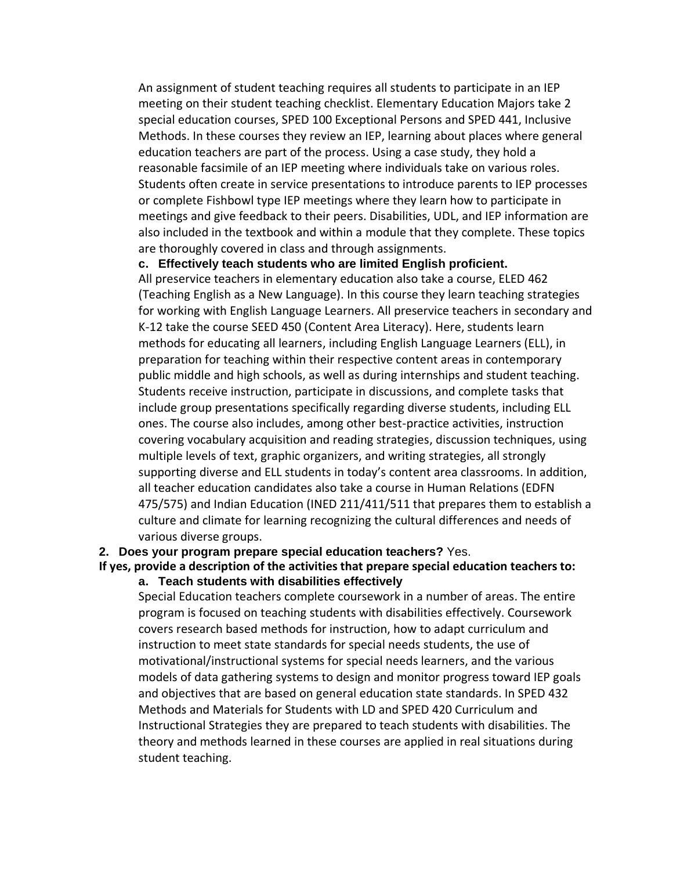An assignment of student teaching requires all students to participate in an IEP meeting on their student teaching checklist. Elementary Education Majors take 2 special education courses, SPED 100 Exceptional Persons and SPED 441, Inclusive Methods. In these courses they review an IEP, learning about places where general education teachers are part of the process. Using a case study, they hold a reasonable facsimile of an IEP meeting where individuals take on various roles. Students often create in service presentations to introduce parents to IEP processes or complete Fishbowl type IEP meetings where they learn how to participate in meetings and give feedback to their peers. Disabilities, UDL, and IEP information are also included in the textbook and within a module that they complete. These topics are thoroughly covered in class and through assignments.

#### **c. Effectively teach students who are limited English proficient.**

All preservice teachers in elementary education also take a course, ELED 462 (Teaching English as a New Language). In this course they learn teaching strategies for working with English Language Learners. All preservice teachers in secondary and K-12 take the course SEED 450 (Content Area Literacy). Here, students learn methods for educating all learners, including English Language Learners (ELL), in preparation for teaching within their respective content areas in contemporary public middle and high schools, as well as during internships and student teaching. Students receive instruction, participate in discussions, and complete tasks that include group presentations specifically regarding diverse students, including ELL ones. The course also includes, among other best-practice activities, instruction covering vocabulary acquisition and reading strategies, discussion techniques, using multiple levels of text, graphic organizers, and writing strategies, all strongly supporting diverse and ELL students in today's content area classrooms. In addition, all teacher education candidates also take a course in Human Relations (EDFN 475/575) and Indian Education (INED 211/411/511 that prepares them to establish a culture and climate for learning recognizing the cultural differences and needs of various diverse groups.

#### **2. Does your program prepare special education teachers?** Yes.

**If yes, provide a description of the activities that prepare special education teachers to: a. Teach students with disabilities effectively**

Special Education teachers complete coursework in a number of areas. The entire program is focused on teaching students with disabilities effectively. Coursework covers research based methods for instruction, how to adapt curriculum and instruction to meet state standards for special needs students, the use of motivational/instructional systems for special needs learners, and the various models of data gathering systems to design and monitor progress toward IEP goals and objectives that are based on general education state standards. In SPED 432 Methods and Materials for Students with LD and SPED 420 Curriculum and Instructional Strategies they are prepared to teach students with disabilities. The theory and methods learned in these courses are applied in real situations during student teaching.